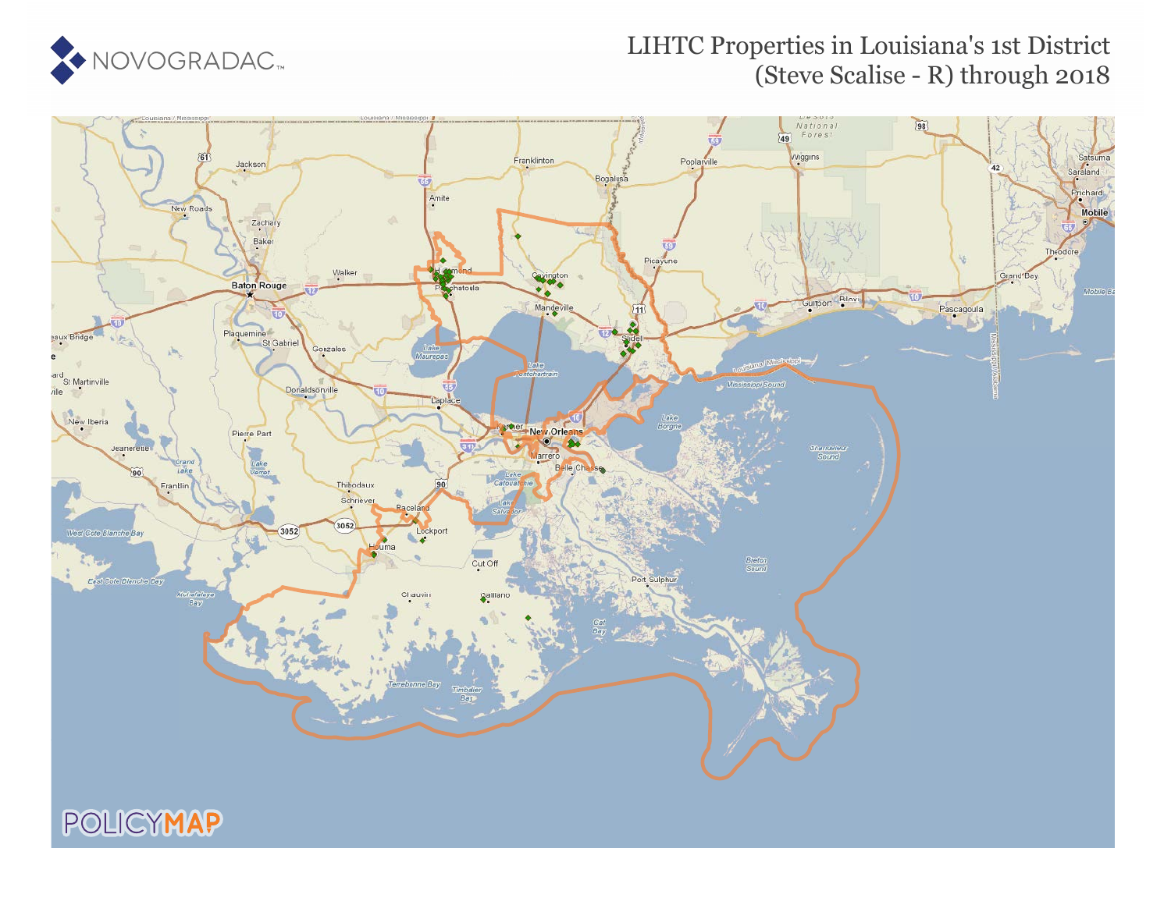

### LIHTC Properties in Louisiana's 1st District (Steve Scalise - R) through 2018



POLICYMAP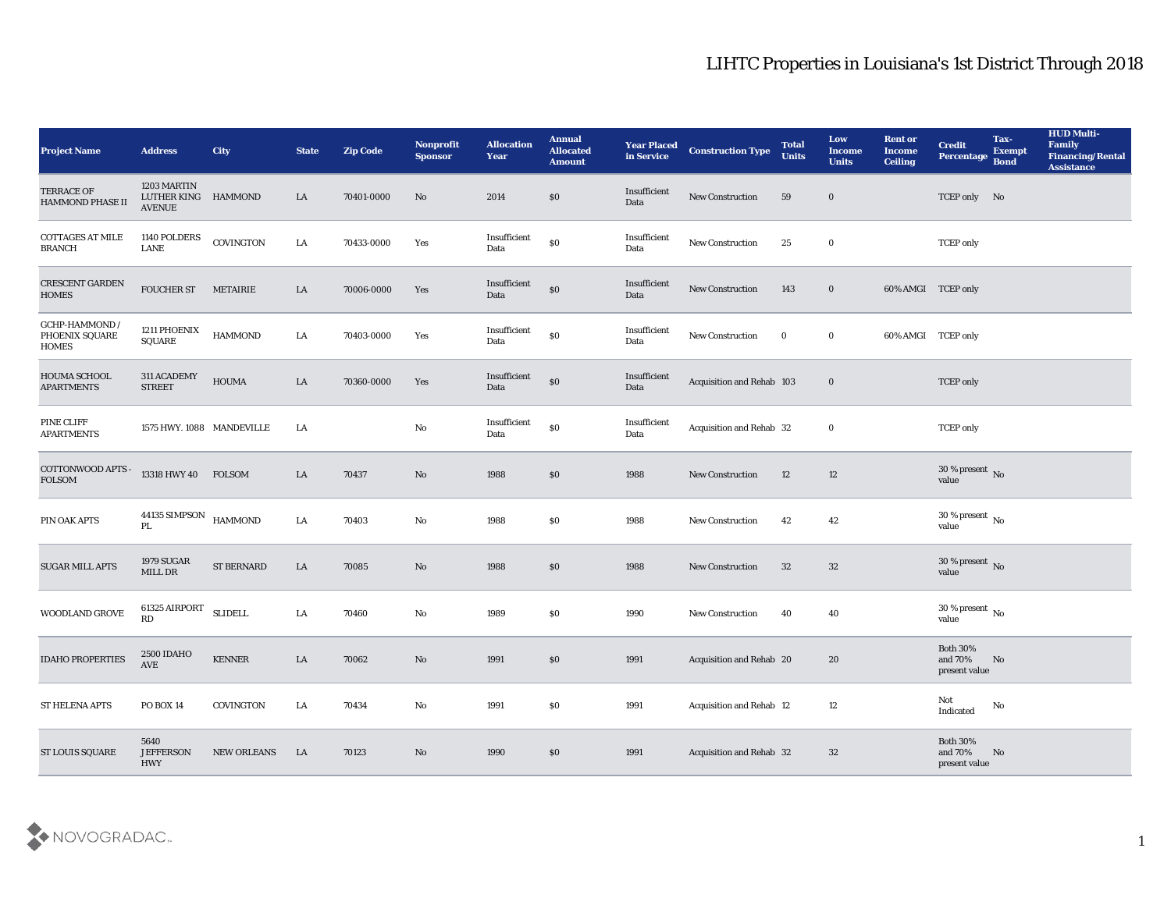| Project Name                                     | <b>Address</b>                                      | <b>City</b>       | <b>State</b> | <b>Zip Code</b> | Nonprofit<br><b>Sponsor</b> | <b>Allocation</b><br>Year | <b>Annual</b><br><b>Allocated</b><br><b>Amount</b> | <b>Year Placed</b><br>in Service | <b>Construction Type</b>  | <b>Total</b><br><b>Units</b> | Low<br><b>Income</b><br><b>Units</b> | <b>Rent or</b><br><b>Income</b><br><b>Ceiling</b> | <b>Credit</b><br>Percentage                 | Tax-<br><b>Exempt</b><br><b>Bond</b> | <b>HUD Multi-</b><br>Family<br><b>Financing/Rental</b><br><b>Assistance</b> |
|--------------------------------------------------|-----------------------------------------------------|-------------------|--------------|-----------------|-----------------------------|---------------------------|----------------------------------------------------|----------------------------------|---------------------------|------------------------------|--------------------------------------|---------------------------------------------------|---------------------------------------------|--------------------------------------|-----------------------------------------------------------------------------|
| TERRACE OF<br><b>HAMMOND PHASE II</b>            | 1203 MARTIN<br>LUTHER KING HAMMOND<br><b>AVENUE</b> |                   | LA           | 70401-0000      | No                          | 2014                      | \$0                                                | Insufficient<br>Data             | New Construction          | 59                           | $\bf{0}$                             |                                                   | TCEP only No                                |                                      |                                                                             |
| COTTAGES AT MILE<br><b>BRANCH</b>                | 1140 POLDERS<br><b>LANE</b>                         | COVINGTON         | LA           | 70433-0000      | Yes                         | Insufficient<br>Data      | $\$0$                                              | Insufficient<br>Data             | New Construction          | 25                           | $\bf{0}$                             |                                                   | <b>TCEP</b> only                            |                                      |                                                                             |
| <b>CRESCENT GARDEN</b><br><b>HOMES</b>           | <b>FOUCHER ST</b>                                   | METAIRIE          | LA           | 70006-0000      | Yes                         | Insufficient<br>Data      | $\$0$                                              | Insufficient<br>Data             | New Construction          | 143                          | $\bf{0}$                             | 60% AMGI TCEP only                                |                                             |                                      |                                                                             |
| GCHP-HAMMOND /<br>PHOENIX SQUARE<br><b>HOMES</b> | 1211 PHOENIX<br><b>SQUARE</b>                       | <b>HAMMOND</b>    | LA           | 70403-0000      | Yes                         | Insufficient<br>Data      | $\$0$                                              | Insufficient<br>Data             | New Construction          | $\bf{0}$                     | $\bf{0}$                             | 60% AMGI TCEP only                                |                                             |                                      |                                                                             |
| HOUMA SCHOOL<br><b>APARTMENTS</b>                | 311 ACADEMY<br><b>STREET</b>                        | <b>HOUMA</b>      | LA           | 70360-0000      | Yes                         | Insufficient<br>Data      | \$0                                                | Insufficient<br>Data             | Acquisition and Rehab 103 |                              | $\bf{0}$                             |                                                   | <b>TCEP</b> only                            |                                      |                                                                             |
| PINE CLIFF<br><b>APARTMENTS</b>                  | 1575 HWY. 1088 MANDEVILLE                           |                   | LA           |                 | $\mathbf {No}$              | Insufficient<br>Data      | $\$0$                                              | Insufficient<br>Data             | Acquisition and Rehab 32  |                              | $\bf{0}$                             |                                                   | <b>TCEP</b> only                            |                                      |                                                                             |
| COTTONWOOD APTS -<br><b>FOLSOM</b>               | 13318 HWY 40 FOLSOM                                 |                   | LA           | 70437           | No                          | 1988                      | \$0                                                | 1988                             | <b>New Construction</b>   | 12                           | 12                                   |                                                   | $30\,\%$ present $\,$ No value              |                                      |                                                                             |
| PIN OAK APTS                                     | 44135 SIMPSON HAMMOND<br>PL                         |                   | LA           | 70403           | No                          | 1988                      | \$0                                                | 1988                             | <b>New Construction</b>   | 42                           | 42                                   |                                                   | 30 % present $\,$ No $\,$<br>value          |                                      |                                                                             |
| <b>SUGAR MILL APTS</b>                           | <b>1979 SUGAR</b><br>MILL DR                        | <b>ST BERNARD</b> | LA           | 70085           | No                          | 1988                      | \$0                                                | 1988                             | <b>New Construction</b>   | 32                           | 32                                   |                                                   | $30\,\%$ present $\,$ No value              |                                      |                                                                             |
| WOODLAND GROVE                                   | 61325 AIRPORT<br>RD                                 | <b>SLIDELL</b>    | LA           | 70460           | $\rm\thinspace No$          | 1989                      | \$0                                                | 1990                             | New Construction          | 40                           | 40                                   |                                                   | $30\,\%$ present $\,$ No value              |                                      |                                                                             |
| <b>IDAHO PROPERTIES</b>                          | <b>2500 IDAHO</b><br>AVE                            | <b>KENNER</b>     | LA           | 70062           | No                          | 1991                      | \$0                                                | 1991                             | Acquisition and Rehab 20  |                              | 20                                   |                                                   | <b>Both 30%</b><br>and 70%<br>present value | No                                   |                                                                             |
| ST HELENA APTS                                   | PO BOX 14                                           | COVINGTON         | LA           | 70434           | $\mathbf{N}\mathbf{o}$      | 1991                      | $\$0$                                              | 1991                             | Acquisition and Rehab 12  |                              | 12                                   |                                                   | Not<br>$\operatorname{Indicated}$           | $\rm No$                             |                                                                             |
| <b>ST LOUIS SQUARE</b>                           | 5640<br><b>JEFFERSON</b><br>HWY                     | NEW ORLEANS       | LA           | 70123           | $\rm\, No$                  | 1990                      | $\$0$                                              | 1991                             | Acquisition and Rehab 32  |                              | 32                                   |                                                   | Both $30\%$<br>and $70\%$<br>present value  | No                                   |                                                                             |

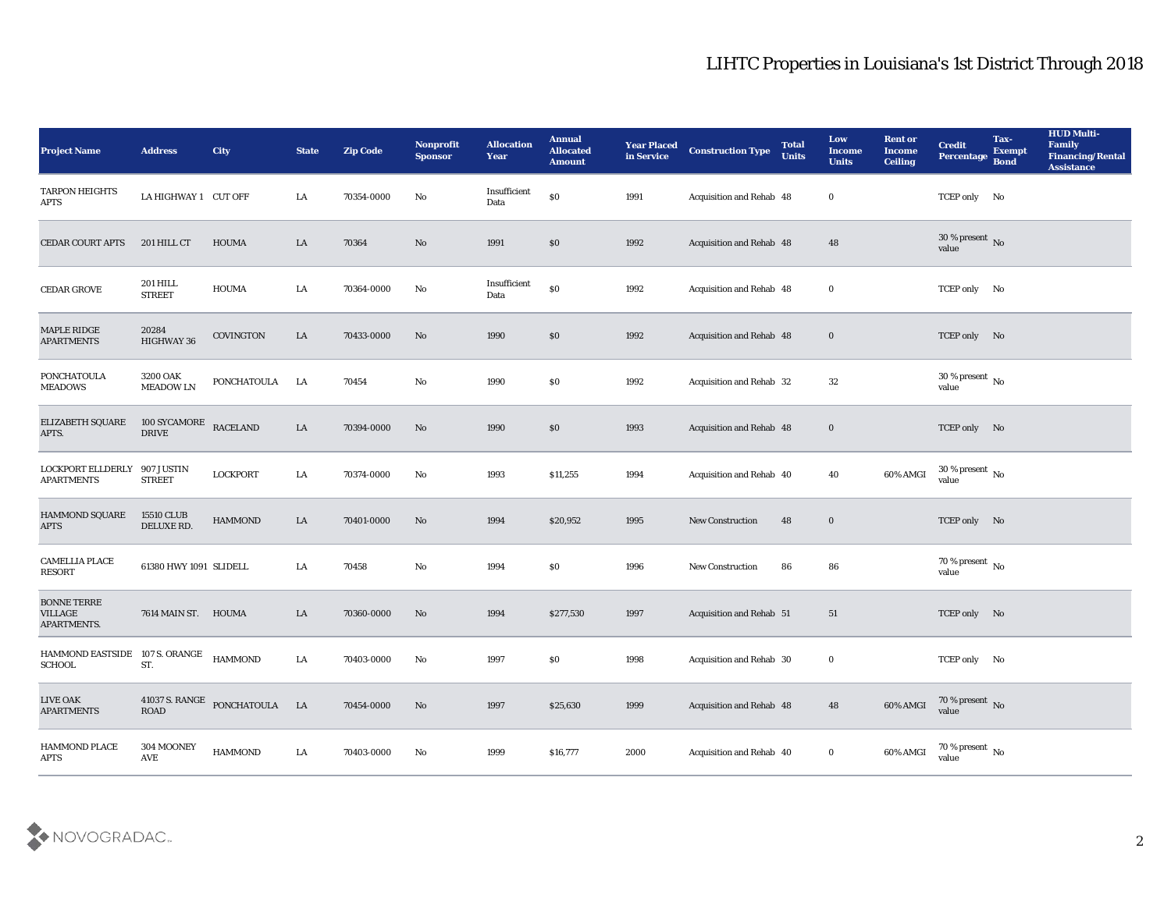| <b>Project Name</b>                          | <b>Address</b>                     | <b>City</b>                   | <b>State</b> | <b>Zip Code</b> | Nonprofit<br><b>Sponsor</b> | <b>Allocation</b><br><b>Year</b> | <b>Annual</b><br><b>Allocated</b><br><b>Amount</b> | <b>Year Placed</b><br>in Service | <b>Construction Type</b>        | <b>Total</b><br><b>Units</b> | Low<br><b>Income</b><br><b>Units</b> | <b>Rent or</b><br>Income<br><b>Ceiling</b> | <b>Credit</b><br>Percentage            | Tax-<br><b>Exempt</b><br><b>Bond</b> | <b>HUD Multi-</b><br>Family<br><b>Financing/Rental</b><br><b>Assistance</b> |
|----------------------------------------------|------------------------------------|-------------------------------|--------------|-----------------|-----------------------------|----------------------------------|----------------------------------------------------|----------------------------------|---------------------------------|------------------------------|--------------------------------------|--------------------------------------------|----------------------------------------|--------------------------------------|-----------------------------------------------------------------------------|
| TARPON HEIGHTS<br>APTS                       | LA HIGHWAY 1 CUT OFF               |                               | LA           | 70354-0000      | No                          | Insufficient<br>Data             | \$0                                                | 1991                             | Acquisition and Rehab 48        |                              | $\bf{0}$                             |                                            | TCEP only No                           |                                      |                                                                             |
| <b>CEDAR COURT APTS</b>                      | 201 HILL CT                        | <b>HOUMA</b>                  | LA           | 70364           | No                          | 1991                             | $\$0$                                              | 1992                             | Acquisition and Rehab 48        |                              | 48                                   |                                            | $30\,\%$ present $\,$ No $\,$<br>value |                                      |                                                                             |
| <b>CEDAR GROVE</b>                           | <b>201 HILL</b><br><b>STREET</b>   | <b>HOUMA</b>                  | LA           | 70364-0000      | No                          | Insufficient<br>Data             | $\$0$                                              | 1992                             | Acquisition and Rehab 48        |                              | $\bf{0}$                             |                                            | TCEP only No                           |                                      |                                                                             |
| <b>MAPLE RIDGE</b><br><b>APARTMENTS</b>      | 20284<br><b>HIGHWAY 36</b>         | COVINGTON                     | LA           | 70433-0000      | No                          | 1990                             | \$0                                                | 1992                             | Acquisition and Rehab 48        |                              | $\bf{0}$                             |                                            | TCEP only No                           |                                      |                                                                             |
| <b>PONCHATOULA</b><br><b>MEADOWS</b>         | 3200 OAK<br><b>MEADOW LN</b>       | <b>PONCHATOULA</b>            | LA           | 70454           | No                          | 1990                             | \$0                                                | 1992                             | Acquisition and Rehab 32        |                              | 32                                   |                                            | 30 % present $\,$ No $\,$<br>value     |                                      |                                                                             |
| <b>ELIZABETH SQUARE</b><br>APTS.             | 100 SYCAMORE<br><b>DRIVE</b>       | <b>RACELAND</b>               | LA           | 70394-0000      | No                          | 1990                             | \$0                                                | 1993                             | <b>Acquisition and Rehab 48</b> |                              | $\bf{0}$                             |                                            | TCEP only No                           |                                      |                                                                             |
| LOCKPORT ELLDERLY<br><b>APARTMENTS</b>       | 907 JUSTIN<br><b>STREET</b>        | <b>LOCKPORT</b>               | LA           | 70374-0000      | No                          | 1993                             | \$11,255                                           | 1994                             | Acquisition and Rehab 40        |                              | 40                                   | 60% AMGI                                   | $30\,\%$ present $\,$ No value         |                                      |                                                                             |
| <b>HAMMOND SQUARE</b><br><b>APTS</b>         | <b>15510 CLUB</b><br>DELUXE RD.    | <b>HAMMOND</b>                | LA           | 70401-0000      | No                          | 1994                             | \$20,952                                           | 1995                             | <b>New Construction</b>         | 48                           | $\bf{0}$                             |                                            | TCEP only No                           |                                      |                                                                             |
| <b>CAMELLIA PLACE</b><br><b>RESORT</b>       | 61380 HWY 1091 SLIDELL             |                               | LA           | 70458           | No                          | 1994                             | \$0                                                | 1996                             | <b>New Construction</b>         | 86                           | 86                                   |                                            | 70 % present No<br>value               |                                      |                                                                             |
| <b>BONNE TERRE</b><br>VILLAGE<br>APARTMENTS. | 7614 MAIN ST. HOUMA                |                               | LA           | 70360-0000      | No                          | 1994                             | \$277,530                                          | 1997                             | <b>Acquisition and Rehab 51</b> |                              | 51                                   |                                            | TCEP only No                           |                                      |                                                                             |
| HAMMOND EASTSIDE<br><b>SCHOOL</b>            | 107 S. ORANGE<br>ST.               | <b>HAMMOND</b>                | LA           | 70403-0000      | No                          | 1997                             | \$0                                                | 1998                             | Acquisition and Rehab 30        |                              | $\bf{0}$                             |                                            | TCEP only No                           |                                      |                                                                             |
| <b>LIVE OAK</b><br><b>APARTMENTS</b>         | $\rm{ROAD}$                        | 41037 S. RANGE PONCHATOULA LA |              | 70454-0000      | $\mathbf{N}\mathbf{o}$      | 1997                             | \$25,630                                           | 1999                             | Acquisition and Rehab 48        |                              | 48                                   | 60% AMGI                                   | $70$ % present $\,$ No $\,$ value      |                                      |                                                                             |
| HAMMOND PLACE<br>$\rm APTS$                  | 304 MOONEY<br>$\operatorname{AVE}$ | $\operatorname{HAMMOND}$      | ${\bf LA}$   | 70403-0000      | $\mathbf{N}\mathbf{o}$      | 1999                             | \$16,777                                           | 2000                             | Acquisition and Rehab 40        |                              | $\bf{0}$                             | 60% AMGI                                   | 70 % present $\,$ No $\,$<br>value     |                                      |                                                                             |

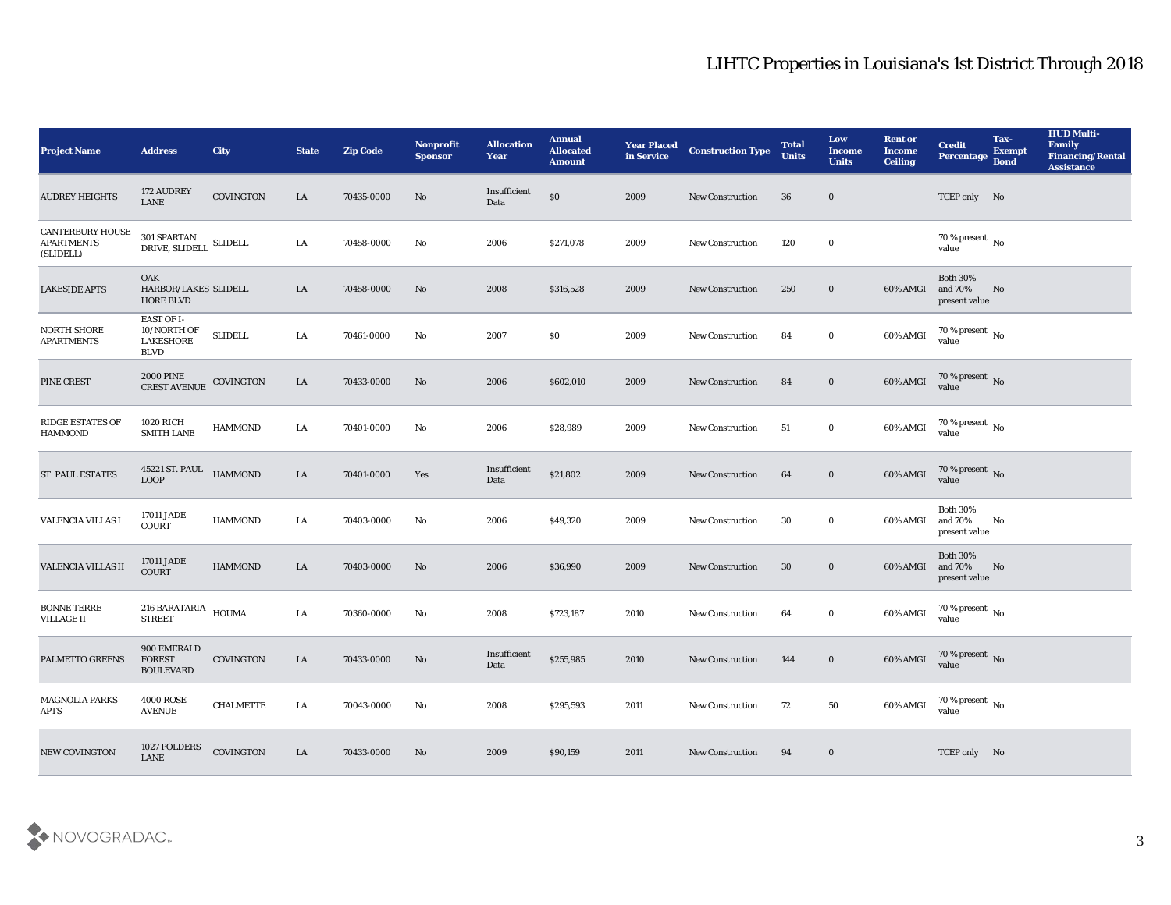| Project Name                                              | <b>Address</b>                                                                                                                                                                                   | City             | <b>State</b> | <b>Zip Code</b> | Nonprofit<br><b>Sponsor</b> | <b>Allocation</b><br>Year | <b>Annual</b><br><b>Allocated</b><br><b>Amount</b> | <b>Year Placed<br/>in Service</b> | <b>Construction Type</b> | <b>Total</b><br><b>Units</b> | Low<br><b>Income</b><br><b>Units</b> | <b>Rent or</b><br><b>Income</b><br><b>Ceiling</b> | <b>Credit</b><br>Percentage                 | Tax-<br><b>Exempt</b><br><b>Bond</b> | <b>HUD Multi-</b><br>Family<br><b>Financing/Rental</b><br><b>Assistance</b> |
|-----------------------------------------------------------|--------------------------------------------------------------------------------------------------------------------------------------------------------------------------------------------------|------------------|--------------|-----------------|-----------------------------|---------------------------|----------------------------------------------------|-----------------------------------|--------------------------|------------------------------|--------------------------------------|---------------------------------------------------|---------------------------------------------|--------------------------------------|-----------------------------------------------------------------------------|
| <b>AUDREY HEIGHTS</b>                                     | 172 AUDREY<br>LANE                                                                                                                                                                               | COVINGTON        | LA           | 70435-0000      | No                          | Insufficient<br>Data      | \$0                                                | 2009                              | <b>New Construction</b>  | 36                           | $\bf{0}$                             |                                                   | TCEP only No                                |                                      |                                                                             |
| <b>CANTERBURY HOUSE</b><br><b>APARTMENTS</b><br>(SLIDELL) | 301 SPARTAN<br>$\begin{tabular}{ll} \multicolumn{2}{l}{{\small \textbf{DRIVE}}}, {\small \textbf{SLIDELL}} \end{tabular} \begin{tabular}{ll} \multicolumn{2}{l}{\textbf{SLIDELL}} \end{tabular}$ |                  | LA           | 70458-0000      | No                          | 2006                      | \$271,078                                          | 2009                              | <b>New Construction</b>  | 120                          | $\bf{0}$                             |                                                   | 70 % present $\,$ No $\,$<br>value          |                                      |                                                                             |
| <b>LAKESIDE APTS</b>                                      | OAK<br>HARBOR/LAKES SLIDELL<br><b>HORE BLVD</b>                                                                                                                                                  |                  | LA           | 70458-0000      | No                          | 2008                      | \$316,528                                          | 2009                              | <b>New Construction</b>  | 250                          | $\bf{0}$                             | 60% AMGI                                          | <b>Both 30%</b><br>and 70%<br>present value | No                                   |                                                                             |
| NORTH SHORE<br><b>APARTMENTS</b>                          | <b>EAST OF I-</b><br>10/NORTH OF<br><b>LAKESHORE</b><br><b>BLVD</b>                                                                                                                              | <b>SLIDELL</b>   | LA           | 70461-0000      | No                          | 2007                      | \$0                                                | 2009                              | <b>New Construction</b>  | 84                           | $\bf{0}$                             | 60% AMGI                                          | $70\,\%$ present $\,$ No value              |                                      |                                                                             |
| PINE CREST                                                | 2000 PINE<br>CREST AVENUE                                                                                                                                                                        | COVINGTON        | LA           | 70433-0000      | No                          | 2006                      | \$602,010                                          | 2009                              | <b>New Construction</b>  | 84                           | $\bf{0}$                             | 60% AMGI                                          | $70\,\%$ present $\,$ No value              |                                      |                                                                             |
| <b>RIDGE ESTATES OF</b><br><b>HAMMOND</b>                 | <b>1020 RICH</b><br><b>SMITH LANE</b>                                                                                                                                                            | <b>HAMMOND</b>   | LA           | 70401-0000      | No                          | 2006                      | \$28,989                                           | 2009                              | <b>New Construction</b>  | 51                           | $\bf{0}$                             | 60% AMGI                                          | $70\,\%$ present $\,$ No value              |                                      |                                                                             |
| <b>ST. PAUL ESTATES</b>                                   | 45221 ST. PAUL HAMMOND LOOP                                                                                                                                                                      |                  | ${\rm LA}$   | 70401-0000      | Yes                         | Insufficient<br>Data      | \$21,802                                           | 2009                              | <b>New Construction</b>  | 64                           | $\bf{0}$                             | 60% AMGI                                          | $70\,\%$ present $\,$ No value              |                                      |                                                                             |
| VALENCIA VILLAS I                                         | 17011 JADE<br><b>COURT</b>                                                                                                                                                                       | <b>HAMMOND</b>   | LA           | 70403-0000      | No                          | 2006                      | \$49,320                                           | 2009                              | <b>New Construction</b>  | 30                           | $\bf{0}$                             | 60% AMGI                                          | <b>Both 30%</b><br>and 70%<br>present value | No                                   |                                                                             |
| VALENCIA VILLAS II                                        | 17011 JADE<br><b>COURT</b>                                                                                                                                                                       | <b>HAMMOND</b>   | LA           | 70403-0000      | No                          | 2006                      | \$36,990                                           | 2009                              | <b>New Construction</b>  | 30                           | $\bf{0}$                             | 60% AMGI                                          | <b>Both 30%</b><br>and 70%<br>present value | No                                   |                                                                             |
| <b>BONNE TERRE</b><br><b>VILLAGE II</b>                   | 216 BARATARIA<br><b>STREET</b>                                                                                                                                                                   | <b>HOUMA</b>     | LA           | 70360-0000      | No                          | 2008                      | \$723,187                                          | 2010                              | <b>New Construction</b>  | 64                           | $\bf{0}$                             | 60% AMGI                                          | $70\,\%$ present $\,$ No value              |                                      |                                                                             |
| PALMETTO GREENS                                           | 900 EMERALD<br><b>FOREST</b><br>BOULEVARD                                                                                                                                                        | <b>COVINGTON</b> | LA           | 70433-0000      | No                          | Insufficient<br>Data      | \$255,985                                          | 2010                              | <b>New Construction</b>  | 144                          | $\bf{0}$                             | 60% AMGI                                          | 70 % present No<br>value                    |                                      |                                                                             |
| MAGNOLIA PARKS<br><b>APTS</b>                             | <b>4000 ROSE</b><br><b>AVENUE</b>                                                                                                                                                                | <b>CHALMETTE</b> | LA           | 70043-0000      | $\mathbf{N}\mathbf{o}$      | 2008                      | \$295,593                                          | 2011                              | <b>New Construction</b>  | 72                           | 50                                   | 60% AMGI                                          | $70\,\%$ present $\,$ No value              |                                      |                                                                             |
| NEW COVINGTON                                             | 1027 POLDERS<br>LANE                                                                                                                                                                             | COVINGTON        | LA           | 70433-0000      | No                          | 2009                      | \$90,159                                           | 2011                              | <b>New Construction</b>  | 94                           | $\bf{0}$                             |                                                   | TCEP only No                                |                                      |                                                                             |

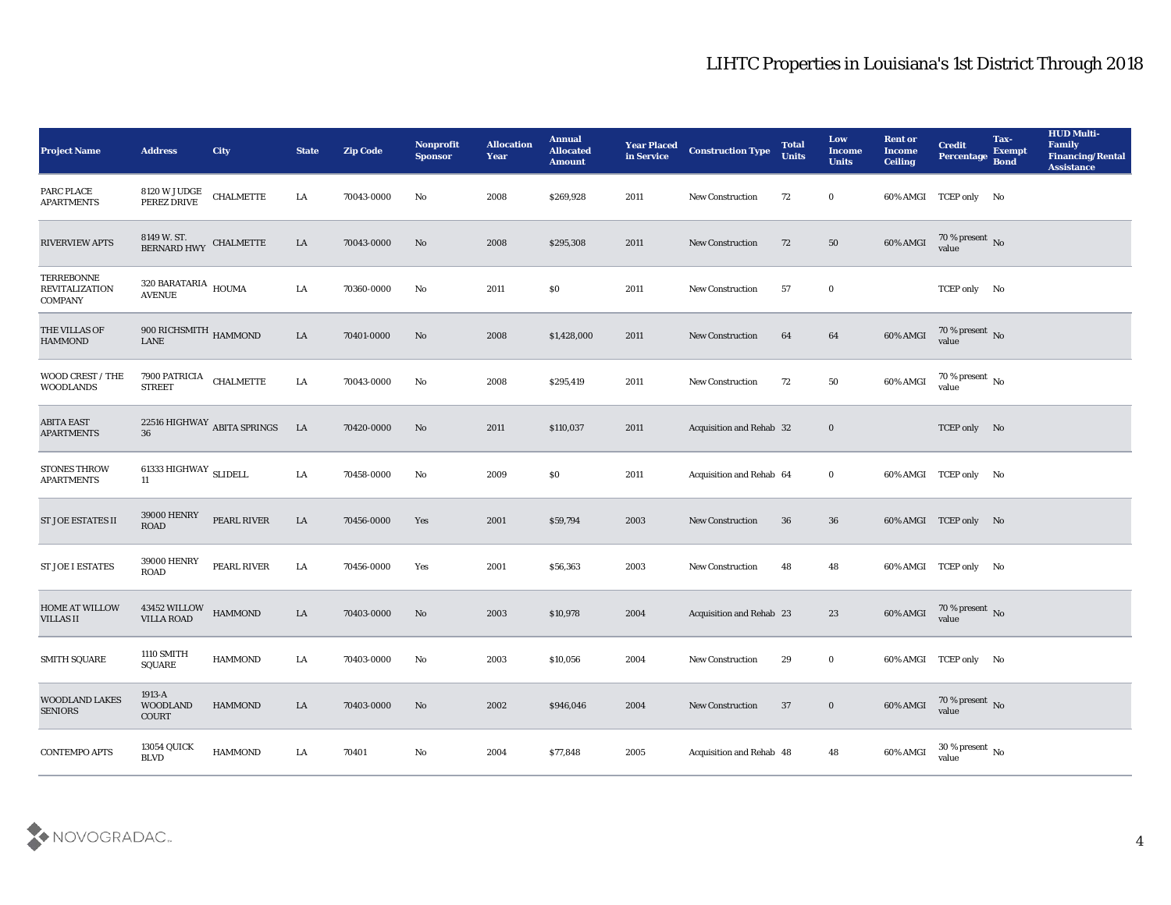| <b>Project Name</b>                                          | <b>Address</b>                                  | City                        | <b>State</b> | <b>Zip Code</b> | Nonprofit<br><b>Sponsor</b> | <b>Allocation</b><br><b>Year</b> | <b>Annual</b><br><b>Allocated</b><br><b>Amount</b> | <b>Year Placed</b><br>in Service | <b>Construction Type</b>        | <b>Total</b><br><b>Units</b> | Low<br><b>Income</b><br><b>Units</b> | <b>Rent or</b><br><b>Income</b><br><b>Ceiling</b> | <b>Credit</b><br><b>Percentage</b> | Tax-<br><b>Exempt</b><br><b>Bond</b> | <b>HUD Multi-</b><br>Family<br><b>Financing/Rental</b><br><b>Assistance</b> |
|--------------------------------------------------------------|-------------------------------------------------|-----------------------------|--------------|-----------------|-----------------------------|----------------------------------|----------------------------------------------------|----------------------------------|---------------------------------|------------------------------|--------------------------------------|---------------------------------------------------|------------------------------------|--------------------------------------|-----------------------------------------------------------------------------|
| PARC PLACE<br><b>APARTMENTS</b>                              | 8120 W JUDGE<br>PEREZ DRIVE                     | <b>CHALMETTE</b>            | LA           | 70043-0000      | No                          | 2008                             | \$269,928                                          | 2011                             | <b>New Construction</b>         | 72                           | $\bf{0}$                             |                                                   | 60% AMGI TCEP only No              |                                      |                                                                             |
| <b>RIVERVIEW APTS</b>                                        | 8149 W. ST.<br><b>BERNARD HWY</b>               | <b>CHALMETTE</b>            | LA           | 70043-0000      | No                          | 2008                             | \$295,308                                          | 2011                             | <b>New Construction</b>         | 72                           | 50                                   | 60% AMGI                                          | 70 % present No<br>value           |                                      |                                                                             |
| <b>TERREBONNE</b><br><b>REVITALIZATION</b><br><b>COMPANY</b> | $320\,$ BARATARIA $\,$ HOUMA<br><b>AVENUE</b>   |                             | LA           | 70360-0000      | No                          | 2011                             | \$0\$                                              | 2011                             | <b>New Construction</b>         | 57                           | $\bf{0}$                             |                                                   | TCEP only No                       |                                      |                                                                             |
| THE VILLAS OF<br><b>HAMMOND</b>                              | $900$ RICHSMITH $_{\rm HAMMOND}$<br><b>LANE</b> |                             | LA           | 70401-0000      | No                          | 2008                             | \$1,428,000                                        | 2011                             | <b>New Construction</b>         | 64                           | 64                                   | 60% AMGI                                          | 70 % present No value              |                                      |                                                                             |
| WOOD CREST / THE<br><b>WOODLANDS</b>                         | 7900 PATRICIA<br><b>STREET</b>                  | <b>CHALMETTE</b>            | LA           | 70043-0000      | No                          | 2008                             | \$295,419                                          | 2011                             | <b>New Construction</b>         | 72                           | 50                                   | 60% AMGI                                          | 70 % present No<br>value           |                                      |                                                                             |
| <b>ABITA EAST</b><br><b>APARTMENTS</b>                       | 36                                              | 22516 HIGHWAY ABITA SPRINGS | <b>LA</b>    | 70420-0000      | No                          | 2011                             | \$110,037                                          | 2011                             | <b>Acquisition and Rehab 32</b> |                              | $\bf{0}$                             |                                                   | TCEP only No                       |                                      |                                                                             |
| <b>STONES THROW</b><br><b>APARTMENTS</b>                     | 61333 HIGHWAY SLIDELL<br>11                     |                             | LA           | 70458-0000      | No                          | 2009                             | $\$0$                                              | 2011                             | Acquisition and Rehab 64        |                              | $\bf{0}$                             |                                                   | 60% AMGI TCEP only No              |                                      |                                                                             |
| <b>ST JOE ESTATES II</b>                                     | 39000 HENRY<br><b>ROAD</b>                      | PEARL RIVER                 | LA           | 70456-0000      | Yes                         | 2001                             | \$59,794                                           | 2003                             | <b>New Construction</b>         | 36                           | 36                                   |                                                   | 60% AMGI TCEP only No              |                                      |                                                                             |
| <b>ST JOE I ESTATES</b>                                      | <b>39000 HENRY</b><br><b>ROAD</b>               | PEARL RIVER                 | ${\rm LA}$   | 70456-0000      | Yes                         | 2001                             | \$56,363                                           | 2003                             | <b>New Construction</b>         | 48                           | 48                                   |                                                   | 60% AMGI TCEP only No              |                                      |                                                                             |
| <b>HOME AT WILLOW</b><br><b>VILLAS II</b>                    | 43452 WILLOW<br><b>VILLA ROAD</b>               | <b>HAMMOND</b>              | LA           | 70403-0000      | No                          | 2003                             | \$10,978                                           | 2004                             | Acquisition and Rehab 23        |                              | 23                                   | 60% AMGI                                          | 70 % present No<br>value           |                                      |                                                                             |
| <b>SMITH SQUARE</b>                                          | 1110 SMITH<br>SQUARE                            | <b>HAMMOND</b>              | LA           | 70403-0000      | No                          | 2003                             | \$10,056                                           | 2004                             | <b>New Construction</b>         | 29                           | $\bf{0}$                             |                                                   | 60% AMGI TCEP only No              |                                      |                                                                             |
| <b>WOODLAND LAKES</b><br><b>SENIORS</b>                      | 1913-A<br><b>WOODLAND</b><br><b>COURT</b>       | <b>HAMMOND</b>              | LA           | 70403-0000      | No                          | 2002                             | \$946,046                                          | 2004                             | New Construction                | 37                           | $\bf{0}$                             | 60% AMGI                                          | $70$ % present $\,$ No $\,$ value  |                                      |                                                                             |
| <b>CONTEMPO APTS</b>                                         | <b>13054 QUICK</b><br><b>BLVD</b>               | <b>HAMMOND</b>              | ${\rm LA}$   | 70401           | ${\bf No}$                  | 2004                             | \$77,848                                           | 2005                             | Acquisition and Rehab 48        |                              | 48                                   | 60% AMGI                                          | 30 % present $\,$ No $\,$<br>value |                                      |                                                                             |

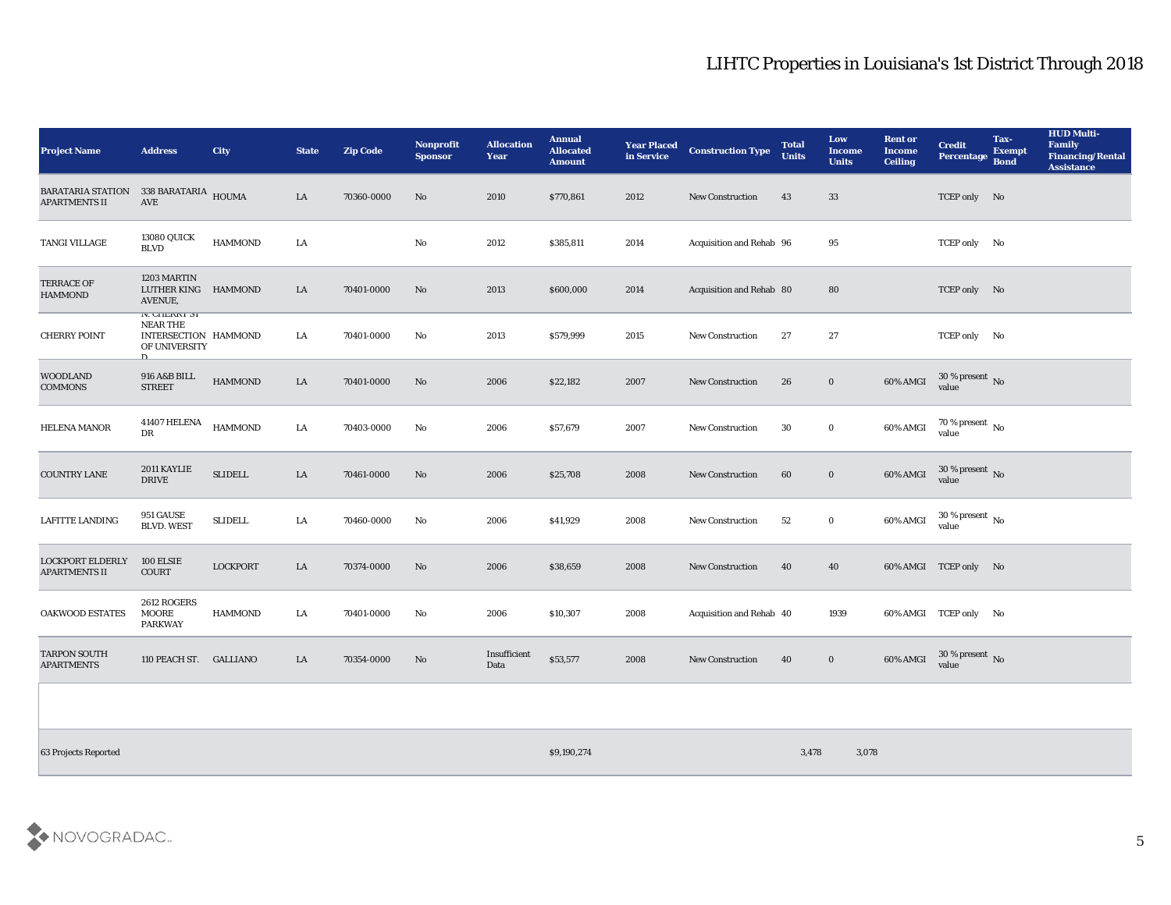| <b>Project Name</b>                              | <b>Address</b>                                                                            | <b>City</b>     | <b>State</b> | <b>Zip Code</b> | Nonprofit<br><b>Sponsor</b> | <b>Allocation</b><br><b>Year</b> | <b>Annual</b><br><b>Allocated</b><br><b>Amount</b> | <b>Year Placed</b><br>in Service | <b>Construction Type</b> | <b>Total</b><br><b>Units</b> | Low<br><b>Income</b><br><b>Units</b> | <b>Rent or</b><br><b>Income</b><br><b>Ceiling</b> | <b>Credit</b><br>Percentage Bond   | Tax-<br><b>Exempt</b> | <b>HUD Multi-</b><br>Family<br><b>Financing/Rental</b><br><b>Assistance</b> |
|--------------------------------------------------|-------------------------------------------------------------------------------------------|-----------------|--------------|-----------------|-----------------------------|----------------------------------|----------------------------------------------------|----------------------------------|--------------------------|------------------------------|--------------------------------------|---------------------------------------------------|------------------------------------|-----------------------|-----------------------------------------------------------------------------|
| <b>BARATARIA STATION</b><br><b>APARTMENTS II</b> | 338 BARATARIA HOUMA<br>AVE                                                                |                 | LA           | 70360-0000      | No                          | 2010                             | \$770,861                                          | 2012                             | <b>New Construction</b>  | 43                           | 33                                   |                                                   | TCEP only No                       |                       |                                                                             |
| TANGI VILLAGE                                    | <b>13080 QUICK</b><br>$\operatorname{BLVD}$                                               | <b>HAMMOND</b>  | LA           |                 | $\mathbf{N}\mathbf{o}$      | 2012                             | \$385,811                                          | 2014                             | Acquisition and Rehab 96 |                              | 95                                   |                                                   | TCEP only No                       |                       |                                                                             |
| <b>TERRACE OF</b><br><b>HAMMOND</b>              | 1203 MARTIN<br>LUTHER KING HAMMOND<br>AVENUE,                                             |                 | LA           | 70401-0000      | No                          | 2013                             | \$600,000                                          | 2014                             | Acquisition and Rehab 80 |                              | 80                                   |                                                   | TCEP only No                       |                       |                                                                             |
| <b>CHERRY POINT</b>                              | IV. UHERRI 31<br><b>NEAR THE</b><br>INTERSECTION HAMMOND<br>OF UNIVERSITY<br>$\mathbf{D}$ |                 | LA           | 70401-0000      | No                          | 2013                             | \$579,999                                          | 2015                             | New Construction         | 27                           | 27                                   |                                                   | TCEP only No                       |                       |                                                                             |
| <b>WOODLAND</b><br><b>COMMONS</b>                | 916 A&B BILL<br><b>STREET</b>                                                             | <b>HAMMOND</b>  | LA           | 70401-0000      | No                          | 2006                             | \$22,182                                           | 2007                             | <b>New Construction</b>  | 26                           | $\bf{0}$                             | 60% AMGI                                          | $30\,\%$ present $\,$ No value     |                       |                                                                             |
| <b>HELENA MANOR</b>                              | 41407 HELENA<br>DR                                                                        | <b>HAMMOND</b>  | LA           | 70403-0000      | No                          | 2006                             | \$57,679                                           | 2007                             | <b>New Construction</b>  | 30                           | $\bf{0}$                             | 60% AMGI                                          | $70\,\%$ present $\,$ No value     |                       |                                                                             |
| <b>COUNTRY LANE</b>                              | 2011 KAYLIE<br><b>DRIVE</b>                                                               | <b>SLIDELL</b>  | ${\rm LA}$   | 70461-0000      | No                          | 2006                             | \$25,708                                           | 2008                             | New Construction         | 60                           | $\boldsymbol{0}$                     | 60% AMGI                                          | $30\,\%$ present $\,$ No value     |                       |                                                                             |
| <b>LAFITTE LANDING</b>                           | 951 GAUSE<br><b>BLVD. WEST</b>                                                            | <b>SLIDELL</b>  | LA           | 70460-0000      | No                          | 2006                             | \$41,929                                           | 2008                             | New Construction         | 52                           | $\bf{0}$                             | 60% AMGI                                          | 30 % present $\,$ No $\,$<br>value |                       |                                                                             |
| <b>LOCKPORT ELDERLY</b><br><b>APARTMENTS II</b>  | 100 ELSIE<br><b>COURT</b>                                                                 | <b>LOCKPORT</b> | LA           | 70374-0000      | No                          | 2006                             | \$38,659                                           | 2008                             | <b>New Construction</b>  | 40                           | 40                                   |                                                   | 60% AMGI TCEP only No              |                       |                                                                             |
| <b>OAKWOOD ESTATES</b>                           | 2612 ROGERS<br><b>MOORE</b><br><b>PARKWAY</b>                                             | <b>HAMMOND</b>  | LA           | 70401-0000      | No                          | 2006                             | \$10,307                                           | 2008                             | Acquisition and Rehab 40 |                              | 1939                                 |                                                   | 60% AMGI TCEP only No              |                       |                                                                             |
| <b>TARPON SOUTH</b><br><b>APARTMENTS</b>         | 110 PEACH ST. GALLIANO                                                                    |                 | LA           | 70354-0000      | No                          | Insufficient<br>Data             | \$53,577                                           | 2008                             | <b>New Construction</b>  | 40                           | $\bf{0}$                             | 60% AMGI                                          | $30\,\%$ present $\;$ No value     |                       |                                                                             |

63 Projects Reported \$9,190,274 3,478 3,078